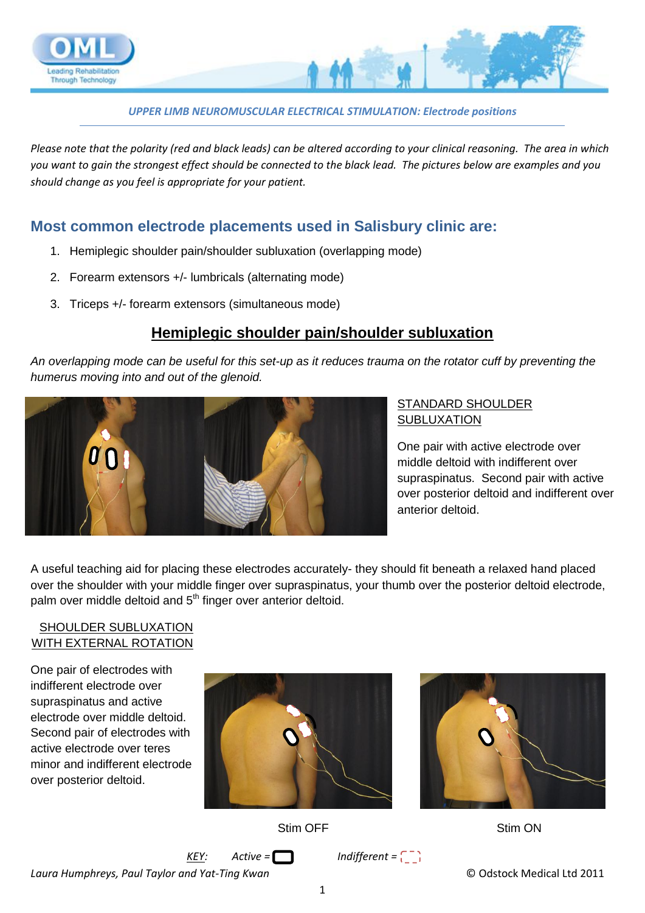

*UPPER LIMB NEUROMUSCULAR ELECTRICAL STIMULATION: Electrode positions*

*Please note that the polarity (red and black leads) can be altered according to your clinical reasoning. The area in which you want to gain the strongest effect should be connected to the black lead. The pictures below are examples and you should change as you feel is appropriate for your patient.*

## **Most common electrode placements used in Salisbury clinic are:**

- 1. Hemiplegic shoulder pain/shoulder subluxation (overlapping mode)
- 2. Forearm extensors +/- lumbricals (alternating mode)
- 3. Triceps +/- forearm extensors (simultaneous mode)

## **Hemiplegic shoulder pain/shoulder subluxation**

*An overlapping mode can be useful for this set-up as it reduces trauma on the rotator cuff by preventing the humerus moving into and out of the glenoid.*



#### STANDARD SHOULDER **SUBLUXATION**

One pair with active electrode over middle deltoid with indifferent over supraspinatus. Second pair with active over posterior deltoid and indifferent over anterior deltoid.

A useful teaching aid for placing these electrodes accurately- they should fit beneath a relaxed hand placed over the shoulder with your middle finger over supraspinatus, your thumb over the posterior deltoid electrode, palm over middle deltoid and 5<sup>th</sup> finger over anterior deltoid.

#### SHOULDER SUBLUXATION WITH EXTERNAL ROTATION

One pair of electrodes with indifferent electrode over supraspinatus and active electrode over middle deltoid. Second pair of electrodes with active electrode over teres minor and indifferent electrode over posterior deltoid.





Stim OFF

Stim ON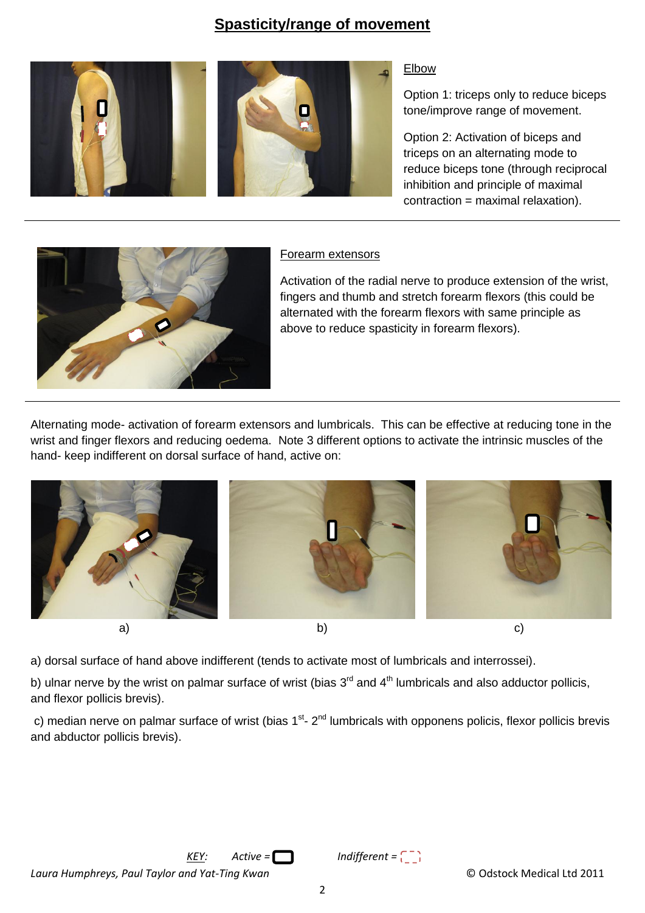## **Spasticity/range of movement**



#### Elbow

Option 1: triceps only to reduce biceps tone/improve range of movement.

Option 2: Activation of biceps and triceps on an alternating mode to reduce biceps tone (through reciprocal inhibition and principle of maximal contraction = maximal relaxation).



#### Forearm extensors

Activation of the radial nerve to produce extension of the wrist, fingers and thumb and stretch forearm flexors (this could be alternated with the forearm flexors with same principle as above to reduce spasticity in forearm flexors).

Alternating mode- activation of forearm extensors and lumbricals. This can be effective at reducing tone in the wrist and finger flexors and reducing oedema. Note 3 different options to activate the intrinsic muscles of the hand- keep indifferent on dorsal surface of hand, active on:



a) dorsal surface of hand above indifferent (tends to activate most of lumbricals and interrossei).

b) ulnar nerve by the wrist on palmar surface of wrist (bias  $3^{\text{rd}}$  and  $4^{\text{th}}$  lumbricals and also adductor pollicis, and flexor pollicis brevis).

c) median nerve on palmar surface of wrist (bias 1<sup>st</sup>- 2<sup>nd</sup> lumbricals with opponens policis, flexor pollicis brevis and abductor pollicis brevis).

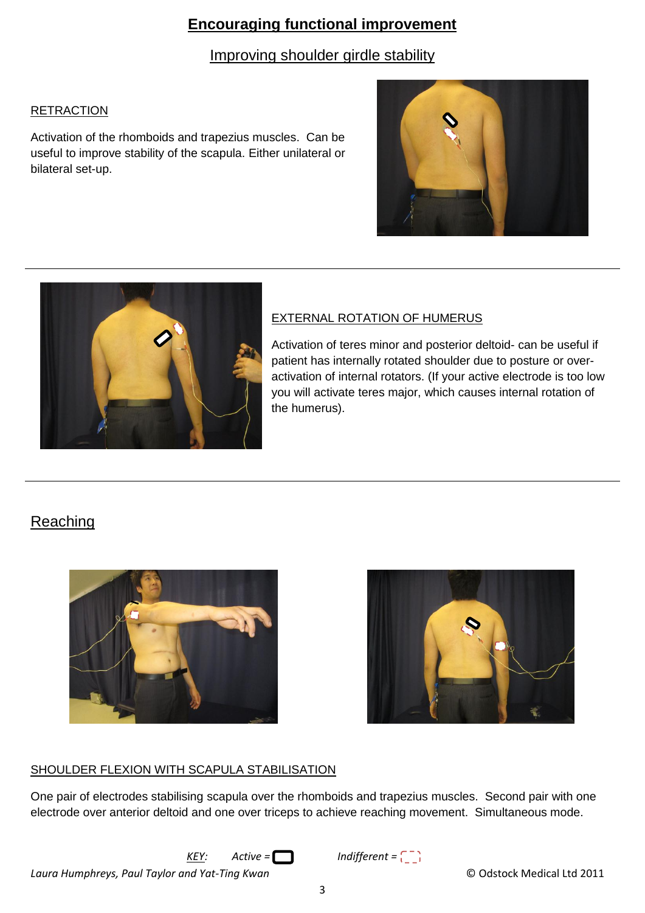## **Encouraging functional improvement**

Improving shoulder girdle stability

#### RETRACTION

Activation of the rhomboids and trapezius muscles. Can be useful to improve stability of the scapula. Either unilateral or bilateral set-up.





#### EXTERNAL ROTATION OF HUMERUS

Activation of teres minor and posterior deltoid- can be useful if patient has internally rotated shoulder due to posture or overactivation of internal rotators. (If your active electrode is too low you will activate teres major, which causes internal rotation of the humerus).

# **Reaching**





#### SHOULDER FLEXION WITH SCAPULA STABILISATION

One pair of electrodes stabilising scapula over the rhomboids and trapezius muscles. Second pair with one electrode over anterior deltoid and one over triceps to achieve reaching movement. Simultaneous mode.

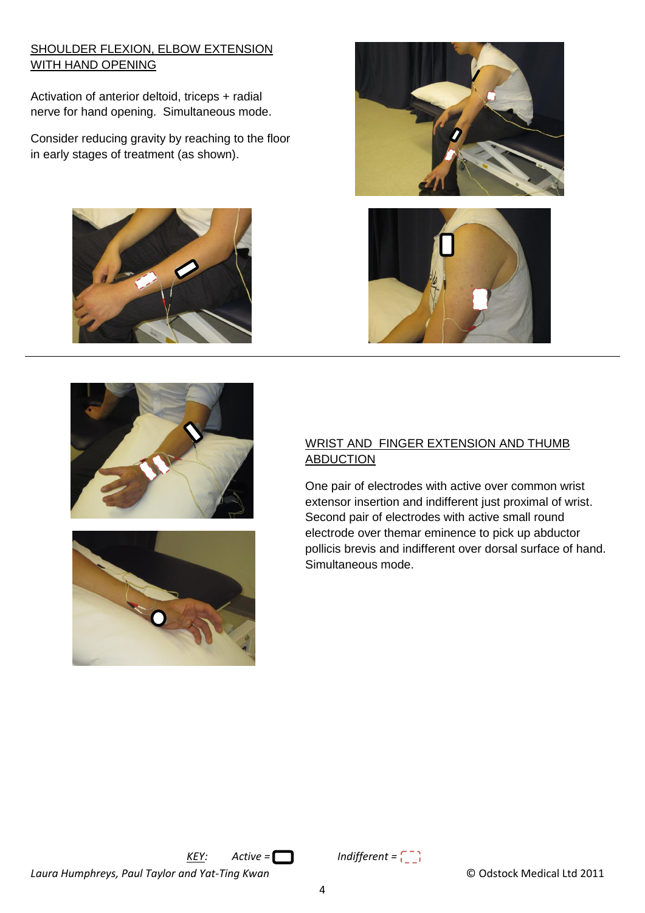#### SHOULDER FLEXION, ELBOW EXTENSION WITH HAND OPENING

Activation of anterior deltoid, triceps + radial nerve for hand opening. Simultaneous mode.

Consider reducing gravity by reaching to the floor in early stages of treatment (as shown).











#### WRIST AND FINGER EXTENSION AND THUMB **ABDUCTION**

One pair of electrodes with active over common wrist extensor insertion and indifferent just proximal of wrist. Second pair of electrodes with active small round electrode over themar eminence to pick up abductor pollicis brevis and indifferent over dorsal surface of hand. Simultaneous mode.